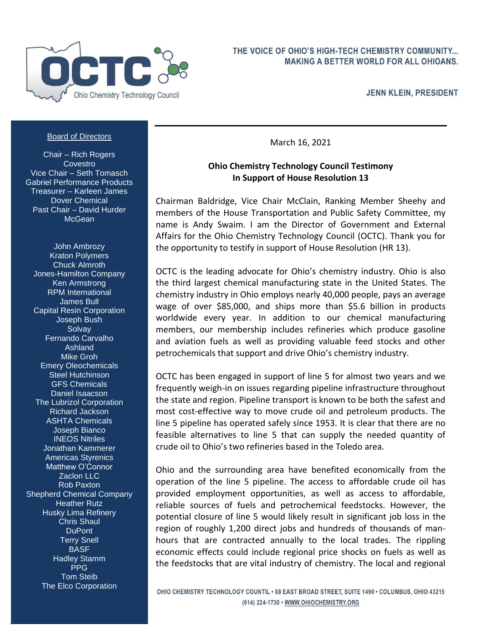

**JENN KLEIN, PRESIDENT** 

## Board of Directors

Chair – Rich Rogers **Covestro** Vice Chair – Seth Tomasch Gabriel Performance Products Treasurer – Karleen James Dover Chemical Past Chair – David Hurder **McGean** 

John Ambrozy Kraton Polymers Chuck Almroth Jones-Hamilton Company Ken Armstrong RPM International James Bull Capital Resin Corporation Joseph Bush **Solvav** Fernando Carvalho Ashland Mike Groh Emery Oleochemicals Steel Hutchinson GFS Chemicals Daniel Isaacson The Lubrizol Corporation Richard Jackson ASHTA Chemicals Joseph Bianco INEOS Nitriles Jonathan Kammerer Americas Styrenics Matthew O'Connor Zaclon LLC Rob Paxton Shepherd Chemical Company **Heather Rutz** Husky Lima Refinery Chris Shaul DuPont Terry Snell **BASF** Hadley Stamm PPG Tom Steib The Elco Corporation

March 16, 2021

## **Ohio Chemistry Technology Council Testimony In Support of House Resolution 13**

Chairman Baldridge, Vice Chair McClain, Ranking Member Sheehy and members of the House Transportation and Public Safety Committee, my name is Andy Swaim. I am the Director of Government and External Affairs for the Ohio Chemistry Technology Council (OCTC). Thank you for the opportunity to testify in support of House Resolution (HR 13).

OCTC is the leading advocate for Ohio's chemistry industry. Ohio is also the third largest chemical manufacturing state in the United States. The chemistry industry in Ohio employs nearly 40,000 people, pays an average wage of over \$85,000, and ships more than \$5.6 billion in products worldwide every year. In addition to our chemical manufacturing members, our membership includes refineries which produce gasoline and aviation fuels as well as providing valuable feed stocks and other petrochemicals that support and drive Ohio's chemistry industry.

OCTC has been engaged in support of line 5 for almost two years and we frequently weigh-in on issues regarding pipeline infrastructure throughout the state and region. Pipeline transport is known to be both the safest and most cost-effective way to move crude oil and petroleum products. The line 5 pipeline has operated safely since 1953. It is clear that there are no feasible alternatives to line 5 that can supply the needed quantity of crude oil to Ohio's two refineries based in the Toledo area.

Ohio and the surrounding area have benefited economically from the operation of the line 5 pipeline. The access to affordable crude oil has provided employment opportunities, as well as access to affordable, reliable sources of fuels and petrochemical feedstocks. However, the potential closure of line 5 would likely result in significant job loss in the region of roughly 1,200 direct jobs and hundreds of thousands of manhours that are contracted annually to the local trades. The rippling economic effects could include regional price shocks on fuels as well as the feedstocks that are vital industry of chemistry. The local and regional